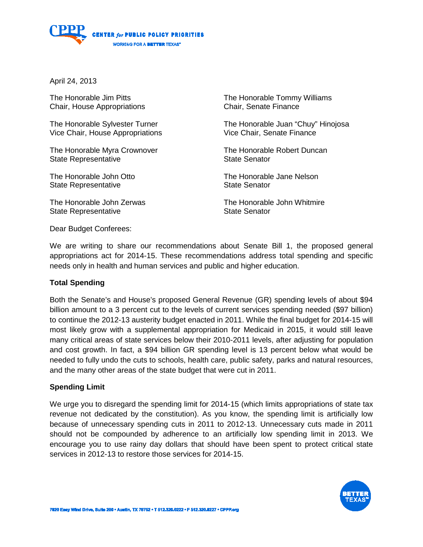

April 24, 2013

The Honorable Jim Pitts Chair, House Appropriations

The Honorable Sylvester Turner Vice Chair, House Appropriations

The Honorable Myra Crownover State Representative

The Honorable John Otto State Representative

The Honorable John Zerwas State Representative

The Honorable Tommy Williams Chair, Senate Finance

The Honorable Juan "Chuy" Hinojosa Vice Chair, Senate Finance

The Honorable Robert Duncan State Senator

The Honorable Jane Nelson State Senator

The Honorable John Whitmire State Senator

Dear Budget Conferees:

We are writing to share our recommendations about Senate Bill 1, the proposed general appropriations act for 2014-15. These recommendations address total spending and specific needs only in health and human services and public and higher education.

### **Total Spending**

Both the Senate's and House's proposed General Revenue (GR) spending levels of about \$94 billion amount to a 3 percent cut to the levels of current services spending needed (\$97 billion) to continue the 2012-13 austerity budget enacted in 2011. While the final budget for 2014-15 will most likely grow with a supplemental appropriation for Medicaid in 2015, it would still leave many critical areas of state services below their 2010-2011 levels, after adjusting for population and cost growth. In fact, a \$94 billion GR spending level is 13 percent below what would be needed to fully undo the cuts to schools, health care, public safety, parks and natural resources, and the many other areas of the state budget that were cut in 2011.

### **Spending Limit**

We urge you to disregard the spending limit for 2014-15 (which limits appropriations of state tax revenue not dedicated by the constitution). As you know, the spending limit is artificially low because of unnecessary spending cuts in 2011 to 2012-13. Unnecessary cuts made in 2011 should not be compounded by adherence to an artificially low spending limit in 2013. We encourage you to use rainy day dollars that should have been spent to protect critical state services in 2012-13 to restore those services for 2014-15.

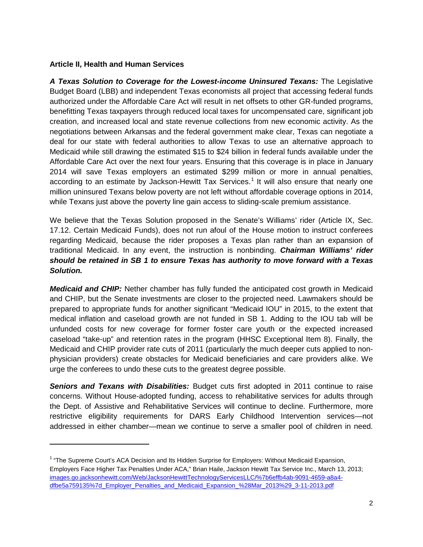## **Article II, Health and Human Services**

ı

*A Texas Solution to Coverage for the Lowest-income Uninsured Texans:* The Legislative Budget Board (LBB) and independent Texas economists all project that accessing federal funds authorized under the Affordable Care Act will result in net offsets to other GR-funded programs, benefitting Texas taxpayers through reduced local taxes for uncompensated care, significant job creation, and increased local and state revenue collections from new economic activity. As the negotiations between Arkansas and the federal government make clear, Texas can negotiate a deal for our state with federal authorities to allow Texas to use an alternative approach to Medicaid while still drawing the estimated \$15 to \$24 billion in federal funds available under the Affordable Care Act over the next four years. Ensuring that this coverage is in place in January 2014 will save Texas employers an estimated \$299 million or more in annual penalties, according to an estimate by Jackson-Hewitt Tax Services.<sup>[1](#page-1-0)</sup> It will also ensure that nearly one million uninsured Texans below poverty are not left without affordable coverage options in 2014, while Texans just above the poverty line gain access to sliding-scale premium assistance.

We believe that the Texas Solution proposed in the Senate's Williams' rider (Article IX, Sec. 17.12. Certain Medicaid Funds), does not run afoul of the House motion to instruct conferees regarding Medicaid, because the rider proposes a Texas plan rather than an expansion of traditional Medicaid. In any event, the instruction is nonbinding. *Chairman Williams' rider should be retained in SB 1 to ensure Texas has authority to move forward with a Texas Solution.* 

*Medicaid and CHIP:* Nether chamber has fully funded the anticipated cost growth in Medicaid and CHIP, but the Senate investments are closer to the projected need. Lawmakers should be prepared to appropriate funds for another significant "Medicaid IOU" in 2015, to the extent that medical inflation and caseload growth are not funded in SB 1. Adding to the IOU tab will be unfunded costs for new coverage for former foster care youth or the expected increased caseload "take-up" and retention rates in the program (HHSC Exceptional Item 8). Finally, the Medicaid and CHIP provider rate cuts of 2011 (particularly the much deeper cuts applied to nonphysician providers) create obstacles for Medicaid beneficiaries and care providers alike. We urge the conferees to undo these cuts to the greatest degree possible.

*Seniors and Texans with Disabilities:* Budget cuts first adopted in 2011 continue to raise concerns. Without House-adopted funding, access to rehabilitative services for adults through the Dept. of Assistive and Rehabilitative Services will continue to decline. Furthermore, more restrictive eligibility requirements for DARS Early Childhood Intervention services—not addressed in either chamber—mean we continue to serve a smaller pool of children in need.

<span id="page-1-0"></span><sup>&</sup>lt;sup>1</sup> "The Supreme Court's ACA Decision and Its Hidden Surprise for Employers: Without Medicaid Expansion, Employers Face Higher Tax Penalties Under ACA," Brian Haile, Jackson Hewitt Tax Service Inc., March 13, 2013; [images.go.jacksonhewitt.com/Web/JacksonHewittTechnologyServicesLLC/%7b6effb4ab-9091-4659-a8a4](http://images.go.jacksonhewitt.com/Web/JacksonHewittTechnologyServicesLLC/%7b6effb4ab-9091-4659-a8a4-dfbe5a759135%7d_Employer_Penalties_and_Medicaid_Expansion_%28Mar_2013%29_3-11-2013.pdf) [dfbe5a759135%7d\\_Employer\\_Penalties\\_and\\_Medicaid\\_Expansion\\_%28Mar\\_2013%29\\_3-11-2013.pdf](http://images.go.jacksonhewitt.com/Web/JacksonHewittTechnologyServicesLLC/%7b6effb4ab-9091-4659-a8a4-dfbe5a759135%7d_Employer_Penalties_and_Medicaid_Expansion_%28Mar_2013%29_3-11-2013.pdf)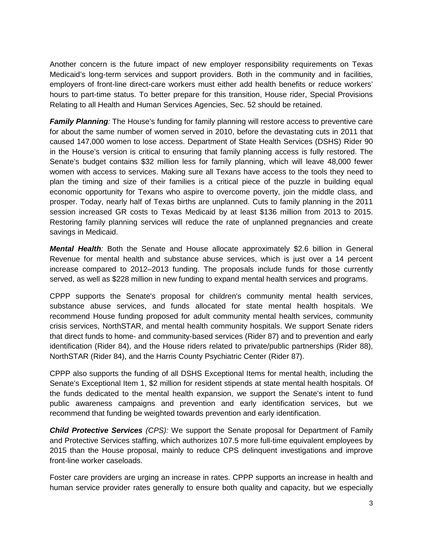Another concern is the future impact of new employer responsibility requirements on Texas Medicaid's long-term services and support providers. Both in the community and in facilities, employers of front-line direct-care workers must either add health benefits or reduce workers' hours to part-time status. To better prepare for this transition, House rider, Special Provisions Relating to all Health and Human Services Agencies, Sec. 52 should be retained.

*Family Planning:* The House's funding for family planning will restore access to preventive care for about the same number of women served in 2010, before the devastating cuts in 2011 that caused 147,000 women to lose access. Department of State Health Services (DSHS) Rider 90 in the House's version is critical to ensuring that family planning access is fully restored. The Senate's budget contains \$32 million less for family planning, which will leave 48,000 fewer women with access to services. Making sure all Texans have access to the tools they need to plan the timing and size of their families is a critical piece of the puzzle in building equal economic opportunity for Texans who aspire to overcome poverty, join the middle class, and prosper. Today, nearly half of Texas births are unplanned. Cuts to family planning in the 2011 session increased GR costs to Texas Medicaid by at least \$136 million from 2013 to 2015. Restoring family planning services will reduce the rate of unplanned pregnancies and create savings in Medicaid.

*Mental Health:* Both the Senate and House allocate approximately \$2.6 billion in General Revenue for mental health and substance abuse services, which is just over a 14 percent increase compared to 2012–2013 funding. The proposals include funds for those currently served, as well as \$228 million in new funding to expand mental health services and programs.

CPPP supports the Senate's proposal for children's community mental health services, substance abuse services, and funds allocated for state mental health hospitals. We recommend House funding proposed for adult community mental health services, community crisis services, NorthSTAR, and mental health community hospitals. We support Senate riders that direct funds to home- and community-based services (Rider 87) and to prevention and early identification (Rider 84), and the House riders related to private/public partnerships (Rider 88), NorthSTAR (Rider 84), and the Harris County Psychiatric Center (Rider 87).

CPPP also supports the funding of all DSHS Exceptional Items for mental health, including the Senate's Exceptional Item 1, \$2 million for resident stipends at state mental health hospitals. Of the funds dedicated to the mental health expansion, we support the Senate's intent to fund public awareness campaigns and prevention and early identification services, but we recommend that funding be weighted towards prevention and early identification.

*Child Protective Services (CPS):* We support the Senate proposal for Department of Family and Protective Services staffing, which authorizes 107.5 more full-time equivalent employees by 2015 than the House proposal, mainly to reduce CPS delinquent investigations and improve front-line worker caseloads.

Foster care providers are urging an increase in rates. CPPP supports an increase in health and human service provider rates generally to ensure both quality and capacity, but we especially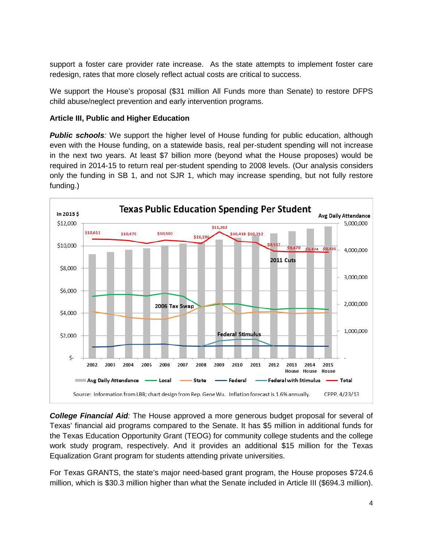support a foster care provider rate increase. As the state attempts to implement foster care redesign, rates that more closely reflect actual costs are critical to success.

We support the House's proposal (\$31 million All Funds more than Senate) to restore DFPS child abuse/neglect prevention and early intervention programs.

# **Article III, Public and Higher Education**

**Public schools**: We support the higher level of House funding for public education, although even with the House funding, on a statewide basis, real per-student spending will not increase in the next two years. At least \$7 billion more (beyond what the House proposes) would be required in 2014-15 to return real per-student spending to 2008 levels. (Our analysis considers only the funding in SB 1, and not SJR 1, which may increase spending, but not fully restore funding.)



*College Financial Aid:* The House approved a more generous budget proposal for several of Texas' financial aid programs compared to the Senate. It has \$5 million in additional funds for the Texas Education Opportunity Grant (TEOG) for community college students and the college work study program, respectively. And it provides an additional \$15 million for the Texas Equalization Grant program for students attending private universities.

For Texas GRANTS, the state's major need-based grant program, the House proposes \$724.6 million, which is \$30.3 million higher than what the Senate included in Article III (\$694.3 million).